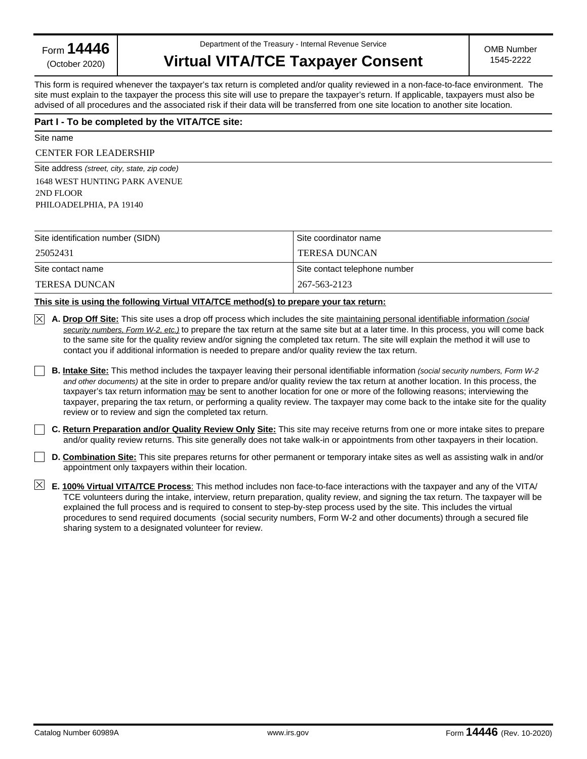Form **14446**

(October 2020)

Department of the Treasury - Internal Revenue Service

# **Virtual VITA/TCE Taxpayer Consent**

This form is required whenever the taxpayer's tax return is completed and/or quality reviewed in a non-face-to-face environment. The site must explain to the taxpayer the process this site will use to prepare the taxpayer's return. If applicable, taxpayers must also be advised of all procedures and the associated risk if their data will be transferred from one site location to another site location.

# **Part I - To be completed by the VITA/TCE site:**

Site name

## CENTER FOR LEADERSHIP

Site address *(street, city, state, zip code)*  1648 WEST HUNTING PARK AVENUE 2ND FLOOR PHILOADELPHIA, PA 19140

| Site identification number (SIDN) | Site coordinator name         |  |
|-----------------------------------|-------------------------------|--|
| 25052431                          | <b>TERESA DUNCAN</b>          |  |
| Site contact name                 | Site contact telephone number |  |
| <b>TERESA DUNCAN</b>              | 267-563-2123                  |  |

# **This site is using the following Virtual VITA/TCE method(s) to prepare your tax return:**

- **A. Drop Off Site:** This site uses a drop off process which includes the site maintaining personal identifiable information *(social security numbers, Form W-2, etc.)* to prepare the tax return at the same site but at a later time. In this process, you will come back to the same site for the quality review and/or signing the completed tax return. The site will explain the method it will use to contact you if additional information is needed to prepare and/or quality review the tax return.
- **B. Intake Site:** This method includes the taxpayer leaving their personal identifiable information *(social security numbers, Form W-2 and other documents)* at the site in order to prepare and/or quality review the tax return at another location. In this process, the taxpayer's tax return information may be sent to another location for one or more of the following reasons; interviewing the taxpayer, preparing the tax return, or performing a quality review. The taxpayer may come back to the intake site for the quality review or to review and sign the completed tax return.
- **C. Return Preparation and/or Quality Review Only Site:** This site may receive returns from one or more intake sites to prepare and/or quality review returns. This site generally does not take walk-in or appointments from other taxpayers in their location.
- **D. Combination Site:** This site prepares returns for other permanent or temporary intake sites as well as assisting walk in and/or appointment only taxpayers within their location.
- **E. 100% Virtual VITA/TCE Process**: This method includes non face-to-face interactions with the taxpayer and any of the VITA/ TCE volunteers during the intake, interview, return preparation, quality review, and signing the tax return. The taxpayer will be explained the full process and is required to consent to step-by-step process used by the site. This includes the virtual procedures to send required documents (social security numbers, Form W-2 and other documents) through a secured file sharing system to a designated volunteer for review.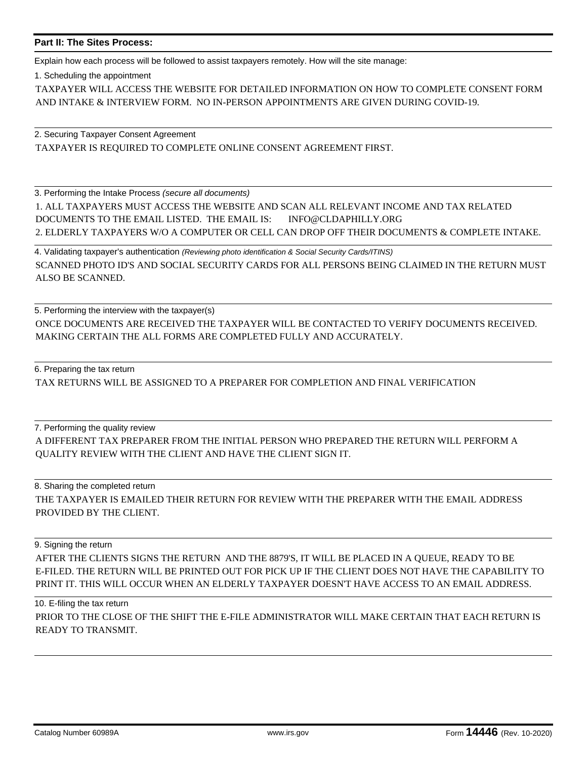# **Part II: The Sites Process:**

Explain how each process will be followed to assist taxpayers remotely. How will the site manage:

1. Scheduling the appointment

TAXPAYER WILL ACCESS THE WEBSITE FOR DETAILED INFORMATION ON HOW TO COMPLETE CONSENT FORM AND INTAKE & INTERVIEW FORM. NO IN-PERSON APPOINTMENTS ARE GIVEN DURING COVID-19.

2. Securing Taxpayer Consent Agreement TAXPAYER IS REQUIRED TO COMPLETE ONLINE CONSENT AGREEMENT FIRST.

3. Performing the Intake Process *(secure all documents)*

1. ALL TAXPAYERS MUST ACCESS THE WEBSITE AND SCAN ALL RELEVANT INCOME AND TAX RELATED DOCUMENTS TO THE EMAIL LISTED. THE EMAIL IS: INFO@CLDAPHILLY.ORG 2. ELDERLY TAXPAYERS W/O A COMPUTER OR CELL CAN DROP OFF THEIR DOCUMENTS & COMPLETE INTAKE.

4. Validating taxpayer's authentication *(Reviewing photo identification & Social Security Cards/ITINS)* SCANNED PHOTO ID'S AND SOCIAL SECURITY CARDS FOR ALL PERSONS BEING CLAIMED IN THE RETURN MUST ALSO BE SCANNED.

5. Performing the interview with the taxpayer(s) ONCE DOCUMENTS ARE RECEIVED THE TAXPAYER WILL BE CONTACTED TO VERIFY DOCUMENTS RECEIVED. MAKING CERTAIN THE ALL FORMS ARE COMPLETED FULLY AND ACCURATELY.

6. Preparing the tax return

TAX RETURNS WILL BE ASSIGNED TO A PREPARER FOR COMPLETION AND FINAL VERIFICATION

7. Performing the quality review A DIFFERENT TAX PREPARER FROM THE INITIAL PERSON WHO PREPARED THE RETURN WILL PERFORM A QUALITY REVIEW WITH THE CLIENT AND HAVE THE CLIENT SIGN IT.

8. Sharing the completed return THE TAXPAYER IS EMAILED THEIR RETURN FOR REVIEW WITH THE PREPARER WITH THE EMAIL ADDRESS PROVIDED BY THE CLIENT.

9. Signing the return

AFTER THE CLIENTS SIGNS THE RETURN AND THE 8879'S, IT WILL BE PLACED IN A QUEUE, READY TO BE E-FILED. THE RETURN WILL BE PRINTED OUT FOR PICK UP IF THE CLIENT DOES NOT HAVE THE CAPABILITY TO PRINT IT. THIS WILL OCCUR WHEN AN ELDERLY TAXPAYER DOESN'T HAVE ACCESS TO AN EMAIL ADDRESS.

10. E-filing the tax return PRIOR TO THE CLOSE OF THE SHIFT THE E-FILE ADMINISTRATOR WILL MAKE CERTAIN THAT EACH RETURN IS READY TO TRANSMIT.